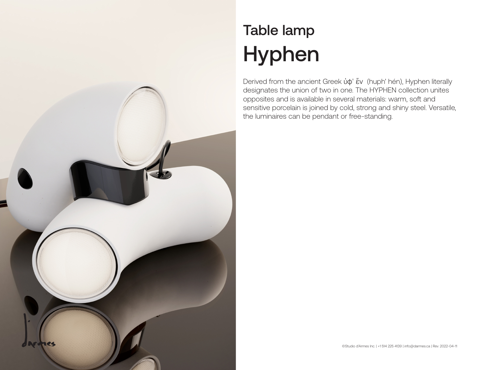

## Table lamp Hyphen

Derived from the ancient Greek ὑφ' ἕv (huph' hén), Hyphen literally designates the union of two in one. The HYPHEN collection unites opposites and is available in several materials: warm, soft and sensitive porcelain is joined by cold, strong and shiny steel. Versatile, the luminaires can be pendant or free-standing.